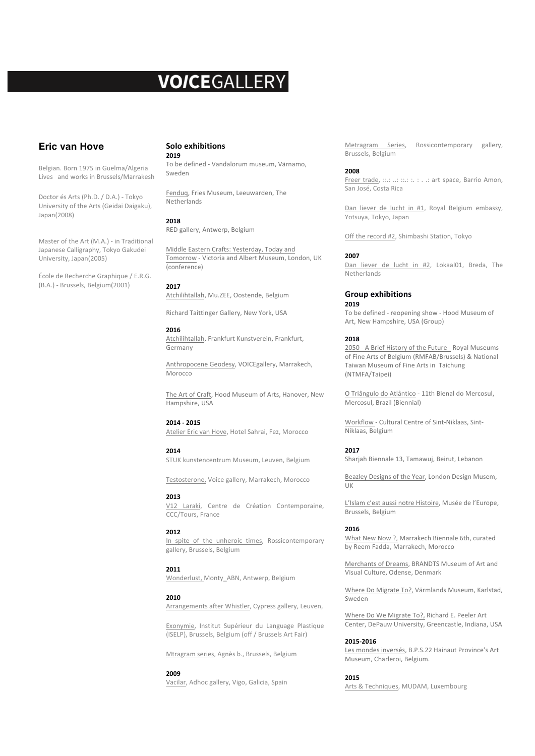# **VOICEGALLERY**

# **Eric van Hove**

Belgian. Born 1975 in Guelma/Algeria Lives and works in Brussels/Marrakesh

Doctor és Arts (Ph.D. / D.A.) - Tokyo University of the Arts (Geidai Daigaku), Japan(2008)

Master of the Art (M.A.) - in Traditional Japanese Calligraphy, Tokyo Gakudei University, Japan(2005)

École de Recherche Graphique / E.R.G. (B.A.) - Brussels, Belgium(2001)

#### **Solo exhibitions 2019**

To be defined - Vandalorum museum, Värnamo, Sweden

Fenduq, Fries Museum, Leeuwarden, The Netherlands

## **2018**

RED gallery, Antwerp, Belgium

Middle Eastern Crafts: Yesterday, Today and Tomorrow - Victoria and Albert Museum, London, UK (conference)

## **2017**

Atchilihtallah, Mu.ZEE, Oostende, Belgium

Richard Taittinger Gallery, New York, USA

## **2016**

Atchilihtallah, Frankfurt Kunstverein, Frankfurt, Germany

Anthropocene Geodesy, VOICEgallery, Marrakech, Morocco

The Art of Craft, Hood Museum of Arts, Hanover, New Hampshire, USA

## **2014 - 2015**

Atelier Eric van Hove, Hotel Sahrai, Fez, Morocco

## **2014**

STUK kunstencentrum Museum, Leuven, Belgium

Testosterone, Voice gallery, Marrakech, Morocco

## **2013**

V12 Laraki, Centre de Création Contemporaine, CCC/Tours, France

## **2012**

In spite of the unheroic times, Rossicontemporary gallery, Brussels, Belgium

## **2011**

Wonderlust, Monty\_ABN, Antwerp, Belgium

## **2010**

Arrangements after Whistler, Cypress gallery, Leuven,

Exonymie, Institut Supérieur du Language Plastique (ISELP), Brussels, Belgium (off / Brussels Art Fair)

Mtragram series, Agnès b., Brussels, Belgium

## **2009**

Vacilar, Adhoc gallery, Vigo, Galicia, Spain

Metragram Series, Rossicontemporary gallery, Brussels, Belgium

## **2008**

Freer trade, ::.: ..: ::.: :. . .: art space, Barrio Amon, San José, Costa Rica

Dan liever de lucht in #1, Royal Belgium embassy, Yotsuya, Tokyo, Japan

Off the record #2, Shimbashi Station, Tokyo

## **2007**

Dan liever de lucht in #2, Lokaal01, Breda, The Netherlands 

## **Group exhibitions 2019**

To be defined - reopening show - Hood Museum of Art, New Hampshire, USA (Group)

## **2018**

2050 - A Brief History of the Future - Royal Museums of Fine Arts of Belgium (RMFAB/Brussels) & National Taiwan Museum of Fine Arts in Taichung (NTMFA/Taipei) 

O Triângulo do Atlântico - 11th Bienal do Mercosul, Mercosul, Brazil (Biennial)

Workflow - Cultural Centre of Sint-Niklaas, Sint-Niklaas, Belgium

## **2017**

Sharjah Biennale 13, Tamawuj, Beirut, Lebanon

Beazley Designs of the Year, London Design Musem, UK

L'Islam c'est aussi notre Histoire, Musée de l'Europe, Brussels, Belgium

## **2016**

What New Now ?, Marrakech Biennale 6th, curated by Reem Fadda, Marrakech, Morocco

Merchants of Dreams, BRANDTS Museum of Art and Visual Culture, Odense, Denmark

Where Do Migrate To?, Värmlands Museum, Karlstad, Sweden

Where Do We Migrate To?, Richard E. Peeler Art Center, DePauw University, Greencastle, Indiana, USA

#### **2015-2016**

Les mondes inversés, B.P.S.22 Hainaut Province's Art Museum, Charleroi, Belgium.

#### **2015**

Arts & Techniques, MUDAM, Luxembourg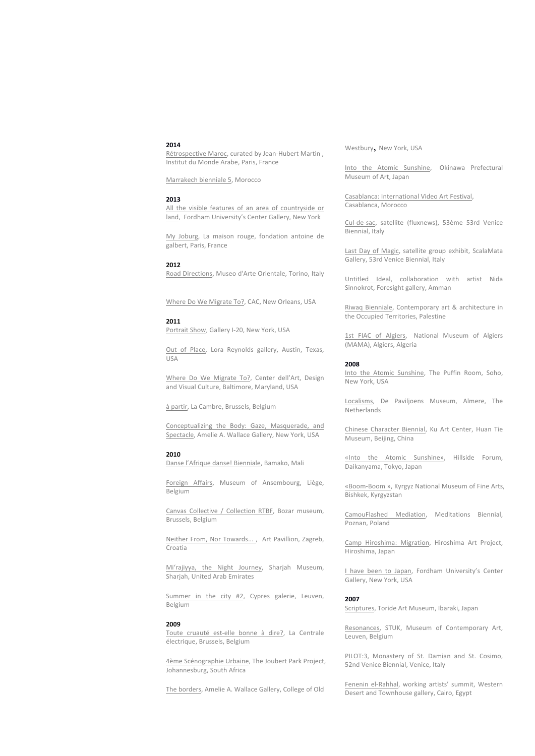#### **2014**

Rétrospective Maroc, curated by Jean-Hubert Martin, Institut du Monde Arabe, Paris, France

Marrakech bienniale 5, Morocco 

#### **2013**

All the visible features of an area of countryside or land, Fordham University's Center Gallery, New York

My Joburg, La maison rouge, fondation antoine de galbert, Paris, France

#### **2012**

Road Directions, Museo d'Arte Orientale, Torino, Italy

Where Do We Migrate To?, CAC, New Orleans, USA

#### **2011**

Portrait Show, Gallery I-20, New York, USA

Out of Place, Lora Reynolds gallery, Austin, Texas, USA

Where Do We Migrate To?, Center dell'Art, Design and Visual Culture, Baltimore, Maryland, USA

à partir, La Cambre, Brussels, Belgium

Conceptualizing the Body: Gaze, Masquerade, and Spectacle, Amelie A. Wallace Gallery, New York, USA

#### **2010**

Danse l'Afrique danse! Bienniale, Bamako, Mali

Foreign Affairs, Museum of Ansembourg, Liège, Belgium

Canvas Collective / Collection RTBF, Bozar museum, Brussels, Belgium

Neither From, Nor Towards..., Art Pavillion, Zagreb, Croatia

Mi'rajiyya, the Night Journey, Sharjah Museum, Sharjah, United Arab Emirates

Summer in the city #2, Cypres galerie, Leuven, Belgium

#### **2009**

Toute cruauté est-elle bonne à dire?, La Centrale électrique, Brussels, Belgium

4ème Scénographie Urbaine, The Joubert Park Project, Johannesburg, South Africa

The borders, Amelie A. Wallace Gallery, College of Old

Westbury, New York, USA

Into the Atomic Sunshine, Okinawa Prefectural Museum of Art, Japan

Casablanca: International Video Art Festival, Casablanca, Morocco

Cul-de-sac, satellite (fluxnews), 53ème 53rd Venice Biennial, Italy

Last Day of Magic, satellite group exhibit, ScalaMata Gallery, 53rd Venice Biennial, Italy

Untitled Ideal, collaboration with artist Nida Sinnokrot, Foresight gallery, Amman

Riwaq Bienniale, Contemporary art & architecture in the Occupied Territories, Palestine

1st FIAC of Algiers, National Museum of Algiers (MAMA), Algiers, Algeria

#### **2008**

Into the Atomic Sunshine, The Puffin Room, Soho, New York, USA

Localisms, De Paviljoens Museum, Almere, The Netherlands

Chinese Character Biennial, Ku Art Center, Huan Tie Museum, Beijing, China

«Into the Atomic Sunshine», Hillside Forum, Daikanyama, Tokyo, Japan

«Boom-Boom », Kyrgyz National Museum of Fine Arts, Bishkek, Kyrgyzstan

CamouFlashed Mediation, Meditations Biennial, Poznan, Poland

Camp Hiroshima: Migration, Hiroshima Art Project, Hiroshima, Japan

I have been to Japan, Fordham University's Center Gallery, New York, USA

#### **2007**

Scriptures, Toride Art Museum, Ibaraki, Japan

Resonances, STUK, Museum of Contemporary Art, Leuven, Belgium

PILOT:3, Monastery of St. Damian and St. Cosimo, 52nd Venice Biennial, Venice, Italy

Fenenin el-Rahhal, working artists' summit, Western Desert and Townhouse gallery, Cairo, Egypt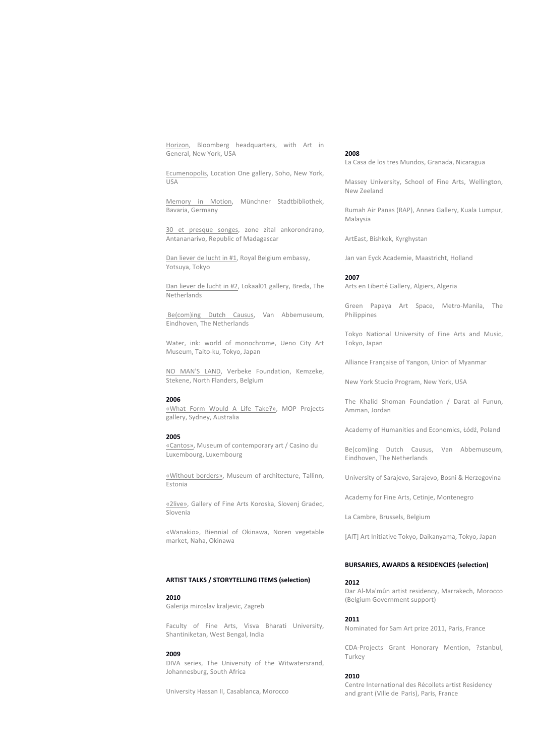Horizon, Bloomberg headquarters, with Art in General, New York, USA

Ecumenopolis, Location One gallery, Soho, New York, USA

Memory in Motion, Münchner Stadtbibliothek, Bavaria, Germany

30 et presque songes, zone zital ankorondrano, Antananarivo, Republic of Madagascar

Dan liever de lucht in #1, Royal Belgium embassy, Yotsuya, Tokyo

Dan liever de lucht in #2, Lokaal01 gallery, Breda, The Netherlands

Be(com)ing Dutch Causus, Van Abbemuseum, Eindhoven, The Netherlands

Water, ink: world of monochrome, Ueno City Art Museum, Taito-ku, Tokyo, Japan

NO MAN'S LAND, Verbeke Foundation, Kemzeke, Stekene, North Flanders, Belgium

#### **2006**

«What Form Would A Life Take?», MOP Projects gallery, Sydney, Australia

## **2005**

«Cantos», Museum of contemporary art / Casino du Luxembourg, Luxembourg

«Without borders», Museum of architecture, Tallinn, Estonia

«2live», Gallery of Fine Arts Koroska, Slovenj Gradec, Slovenia

«Wanakio», Biennial of Okinawa, Noren vegetable market, Naha, Okinawa

## **ARTIST TALKS / STORYTELLING ITEMS (selection)**

## **2010**

Galerija miroslav kraljevic, Zagreb

Faculty of Fine Arts, Visva Bharati University, Shantiniketan, West Bengal, India

#### **2009**

DIVA series, The University of the Witwatersrand, Johannesburg, South Africa

University Hassan II, Casablanca, Morocco

#### **2008**

La Casa de los tres Mundos, Granada, Nicaragua

Massey University, School of Fine Arts, Wellington, New Zeeland

Rumah Air Panas (RAP), Annex Gallery, Kuala Lumpur, Malaysia

ArtEast, Bishkek, Kyrghystan

Jan van Eyck Academie, Maastricht, Holland

#### **2007**

Arts en Liberté Gallery, Algiers, Algeria

Green Papaya Art Space, Metro-Manila, The Philippines

Tokyo National University of Fine Arts and Music, Tokyo, Japan

Alliance Française of Yangon, Union of Myanmar

New York Studio Program, New York, USA

The Khalid Shoman Foundation / Darat al Funun, Amman, Jordan

Academy of Humanities and Economics, Łódź, Poland

Be(com)ing Dutch Causus, Van Abbemuseum, Eindhoven, The Netherlands

University of Sarajevo, Sarajevo, Bosni & Herzegovina

Academy for Fine Arts, Cetinie, Montenegro

La Cambre, Brussels, Belgium

[AIT] Art Initiative Tokyo, Daikanyama, Tokyo, Japan

## **BURSARIES, AWARDS & RESIDENCIES (selection)**

#### **2012**

Dar Al-Ma'mûn artist residency, Marrakech, Morocco (Belgium Government support)

#### **2011**

Nominated for Sam Art prize 2011, Paris, France

CDA-Projects Grant Honorary Mention, ?stanbul, Turkey

#### **2010**

Centre International des Récollets artist Residency and grant (Ville de Paris), Paris, France